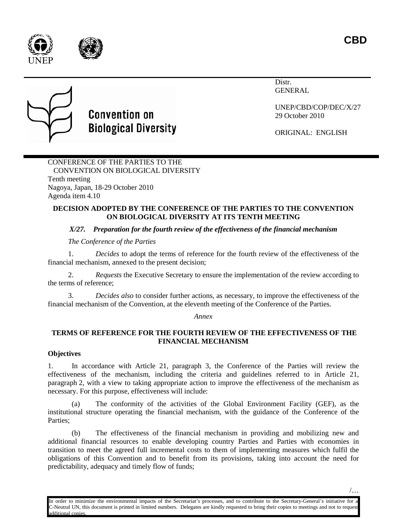**CBD**







# **Convention on Biological Diversity**

Distr. GENERAL

UNEP/CBD/COP/DEC/X/27 29 October 2010

ORIGINAL: ENGLISH

CONFERENCE OF THE PARTIES TO THE CONVENTION ON BIOLOGICAL DIVERSITY Tenth meeting Nagoya, Japan, 18-29 October 2010 Agenda item 4.10

### **DECISION ADOPTED BY THE CONFERENCE OF THE PARTIES TO THE CONVENTION ON BIOLOGICAL DIVERSITY AT ITS TENTH MEETING**

## *X/27. Preparation for the fourth review of the effectiveness of the financial mechanism*

*The Conference of the Parties*

1. *Decides* to adopt the terms of reference for the fourth review of the effectiveness of the financial mechanism, annexed to the present decision;

2. *Requests* the Executive Secretary to ensure the implementation of the review according to the terms of reference;

3. *Decides also* to consider further actions, as necessary, to improve the effectiveness of the financial mechanism of the Convention, at the eleventh meeting of the Conference of the Parties.

*Annex*

## **TERMS OF REFERENCE FOR THE FOURTH REVIEW OF THE EFFECTIVENESS OF THE FINANCIAL MECHANISM**

## **Objectives**

1. In accordance with Article 21, paragraph 3, the Conference of the Parties will review the effectiveness of the mechanism, including the criteria and guidelines referred to in Article 21, paragraph 2, with a view to taking appropriate action to improve the effectiveness of the mechanism as necessary. For this purpose, effectiveness will include:

The conformity of the activities of the Global Environment Facility (GEF), as the institutional structure operating the financial mechanism, with the guidance of the Conference of the Parties;

(b) The effectiveness of the financial mechanism in providing and mobilizing new and additional financial resources to enable developing country Parties and Parties with economies in transition to meet the agreed full incremental costs to them of implementing measures which fulfil the obligations of this Convention and to benefit from its provisions, taking into account the need for predictability, adequacy and timely flow of funds;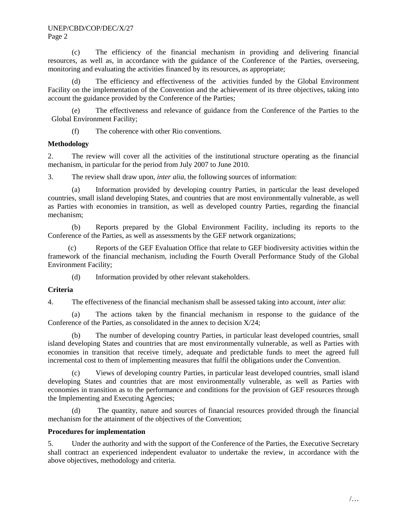#### UNEP/CBD/COP/DEC/X/27 Page 2

(c) The efficiency of the financial mechanism in providing and delivering financial resources, as well as, in accordance with the guidance of the Conference of the Parties, overseeing, monitoring and evaluating the activities financed by its resources, as appropriate;

(d) The efficiency and effectiveness of the activities funded by the Global Environment Facility on the implementation of the Convention and the achievement of its three objectives, taking into account the guidance provided by the Conference of the Parties;

(e) The effectiveness and relevance of guidance from the Conference of the Parties to the Global Environment Facility;

(f) The coherence with other Rio conventions.

#### **Methodology**

2. The review will cover all the activities of the institutional structure operating as the financial mechanism, in particular for the period from July 2007 to June 2010.

3. The review shall draw upon, *inter alia*, the following sources of information:

(a) Information provided by developing country Parties, in particular the least developed countries, small island developing States, and countries that are most environmentally vulnerable, as well as Parties with economies in transition, as well as developed country Parties, regarding the financial mechanism;

(b) Reports prepared by the Global Environment Facility, including its reports to the Conference of the Parties, as well as assessments by the GEF network organizations;

(c) Reports of the GEF Evaluation Office that relate to GEF biodiversity activities within the framework of the financial mechanism, including the Fourth Overall Performance Study of the Global Environment Facility;

(d) Information provided by other relevant stakeholders.

#### **Criteria**

4. The effectiveness of the financial mechanism shall be assessed taking into account, *inter alia*:

(a) The actions taken by the financial mechanism in response to the guidance of the Conference of the Parties, as consolidated in the annex to decision  $X/24$ ;

The number of developing country Parties, in particular least developed countries, small island developing States and countries that are most environmentally vulnerable, as well as Parties with economies in transition that receive timely, adequate and predictable funds to meet the agreed full incremental cost to them of implementing measures that fulfil the obligations under the Convention.

(c) Views of developing country Parties, in particular least developed countries, small island developing States and countries that are most environmentally vulnerable, as well as Parties with economies in transition as to the performance and conditions for the provision of GEF resources through the Implementing and Executing Agencies;

(d) The quantity, nature and sources of financial resources provided through the financial mechanism for the attainment of the objectives of the Convention;

#### **Procedures for implementation**

5. Under the authority and with the support of the Conference of the Parties, the Executive Secretary shall contract an experienced independent evaluator to undertake the review, in accordance with the above objectives, methodology and criteria.